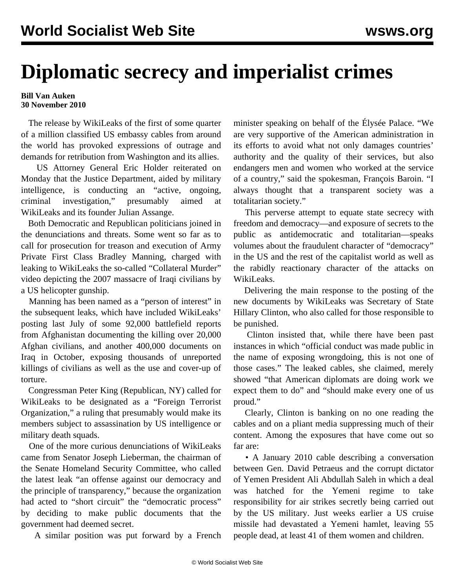## **Diplomatic secrecy and imperialist crimes**

## **Bill Van Auken 30 November 2010**

 The release by WikiLeaks of the first of some quarter of a million classified US embassy cables from around the world has provoked expressions of outrage and demands for retribution from Washington and its allies.

 US Attorney General Eric Holder reiterated on Monday that the Justice Department, aided by military intelligence, is conducting an "active, ongoing, criminal investigation," presumably aimed at WikiLeaks and its founder Julian Assange.

 Both Democratic and Republican politicians joined in the denunciations and threats. Some went so far as to call for prosecution for treason and execution of Army Private First Class Bradley Manning, charged with leaking to WikiLeaks the so-called "Collateral Murder" video depicting the 2007 massacre of Iraqi civilians by a US helicopter gunship.

 Manning has been named as a "person of interest" in the subsequent leaks, which have included WikiLeaks' posting last July of some 92,000 battlefield reports from Afghanistan documenting the killing over 20,000 Afghan civilians, and another 400,000 documents on Iraq in October, exposing thousands of unreported killings of civilians as well as the use and cover-up of torture.

 Congressman Peter King (Republican, NY) called for WikiLeaks to be designated as a "Foreign Terrorist Organization," a ruling that presumably would make its members subject to assassination by US intelligence or military death squads.

 One of the more curious denunciations of WikiLeaks came from Senator Joseph Lieberman, the chairman of the Senate Homeland Security Committee, who called the latest leak "an offense against our democracy and the principle of transparency," because the organization had acted to "short circuit" the "democratic process" by deciding to make public documents that the government had deemed secret.

A similar position was put forward by a French

minister speaking on behalf of the Élysée Palace. "We are very supportive of the American administration in its efforts to avoid what not only damages countries' authority and the quality of their services, but also endangers men and women who worked at the service of a country," said the spokesman, François Baroin. "I always thought that a transparent society was a totalitarian society."

 This perverse attempt to equate state secrecy with freedom and democracy—and exposure of secrets to the public as antidemocratic and totalitarian—speaks volumes about the fraudulent character of "democracy" in the US and the rest of the capitalist world as well as the rabidly reactionary character of the attacks on WikiLeaks.

 Delivering the main response to the posting of the new documents by WikiLeaks was Secretary of State Hillary Clinton, who also called for those responsible to be punished.

 Clinton insisted that, while there have been past instances in which "official conduct was made public in the name of exposing wrongdoing, this is not one of those cases." The leaked cables, she claimed, merely showed "that American diplomats are doing work we expect them to do" and "should make every one of us proud."

 Clearly, Clinton is banking on no one reading the cables and on a pliant media suppressing much of their content. Among the exposures that have come out so far are:

 • A January 2010 cable describing a conversation between Gen. David Petraeus and the corrupt dictator of Yemen President Ali Abdullah Saleh in which a deal was hatched for the Yemeni regime to take responsibility for air strikes secretly being carried out by the US military. Just weeks earlier a US cruise missile had devastated a Yemeni hamlet, leaving 55 people dead, at least 41 of them women and children.